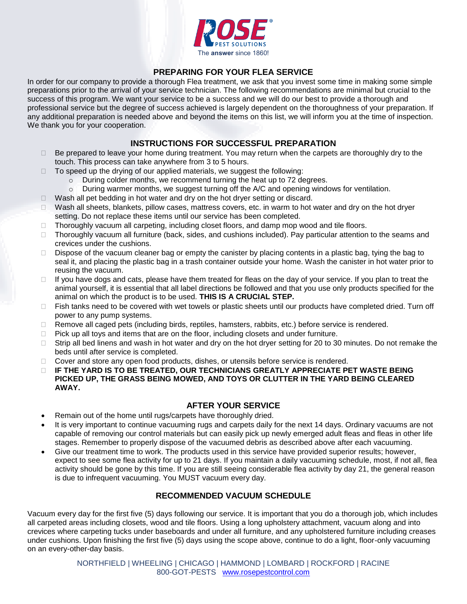

# **PREPARING FOR YOUR FLEA SERVICE**

In order for our company to provide a thorough Flea treatment, we ask that you invest some time in making some simple preparations prior to the arrival of your service technician. The following recommendations are minimal but crucial to the success of this program. We want your service to be a success and we will do our best to provide a thorough and professional service but the degree of success achieved is largely dependent on the thoroughness of your preparation. If any additional preparation is needed above and beyond the items on this list, we will inform you at the time of inspection. We thank you for your cooperation.

## **INSTRUCTIONS FOR SUCCESSFUL PREPARATION**

- $\Box$  Be prepared to leave your home during treatment. You may return when the carpets are thoroughly dry to the touch. This process can take anywhere from 3 to 5 hours.
- $\Box$  To speed up the drying of our applied materials, we suggest the following:
	- o During colder months, we recommend turning the heat up to 72 degrees.
	- o During warmer months, we suggest turning off the A/C and opening windows for ventilation.
- $\Box$  Wash all pet bedding in hot water and dry on the hot dryer setting or discard.
- Wash all sheets, blankets, pillow cases, mattress covers, etc. in warm to hot water and dry on the hot dryer setting. Do not replace these items until our service has been completed.
- $\Box$  Thoroughly vacuum all carpeting, including closet floors, and damp mop wood and tile floors.
- $\Box$  Thoroughly vacuum all furniture (back, sides, and cushions included). Pay particular attention to the seams and crevices under the cushions.
- $\Box$  Dispose of the vacuum cleaner bag or empty the canister by placing contents in a plastic bag, tying the bag to seal it, and placing the plastic bag in a trash container outside your home. Wash the canister in hot water prior to reusing the vacuum.
- $\Box$  If you have dogs and cats, please have them treated for fleas on the day of your service. If you plan to treat the animal yourself, it is essential that all label directions be followed and that you use only products specified for the animal on which the product is to be used. **THIS IS A CRUCIAL STEP.**
- $\Box$  Fish tanks need to be covered with wet towels or plastic sheets until our products have completed dried. Turn off power to any pump systems.
- $\Box$  Remove all caged pets (including birds, reptiles, hamsters, rabbits, etc.) before service is rendered.
- $\Box$  Pick up all toys and items that are on the floor, including closets and under furniture.
- $\Box$  Strip all bed linens and wash in hot water and dry on the hot dryer setting for 20 to 30 minutes. Do not remake the beds until after service is completed.
- □ Cover and store any open food products, dishes, or utensils before service is rendered.
- **IF THE YARD IS TO BE TREATED, OUR TECHNICIANS GREATLY APPRECIATE PET WASTE BEING PICKED UP, THE GRASS BEING MOWED, AND TOYS OR CLUTTER IN THE YARD BEING CLEARED AWAY.**

### **AFTER YOUR SERVICE**

- Remain out of the home until rugs/carpets have thoroughly dried.
- It is very important to continue vacuuming rugs and carpets daily for the next 14 days. Ordinary vacuums are not capable of removing our control materials but can easily pick up newly emerged adult fleas and fleas in other life stages. Remember to properly dispose of the vacuumed debris as described above after each vacuuming.
- Give our treatment time to work. The products used in this service have provided superior results; however, expect to see some flea activity for up to 21 days. If you maintain a daily vacuuming schedule, most, if not all, flea activity should be gone by this time. If you are still seeing considerable flea activity by day 21, the general reason is due to infrequent vacuuming. You MUST vacuum every day.

### **RECOMMENDED VACUUM SCHEDULE**

Vacuum every day for the first five (5) days following our service. It is important that you do a thorough job, which includes all carpeted areas including closets, wood and tile floors. Using a long upholstery attachment, vacuum along and into crevices where carpeting tucks under baseboards and under all furniture, and any upholstered furniture including creases under cushions. Upon finishing the first five (5) days using the scope above, continue to do a light, floor-only vacuuming on an every-other-day basis.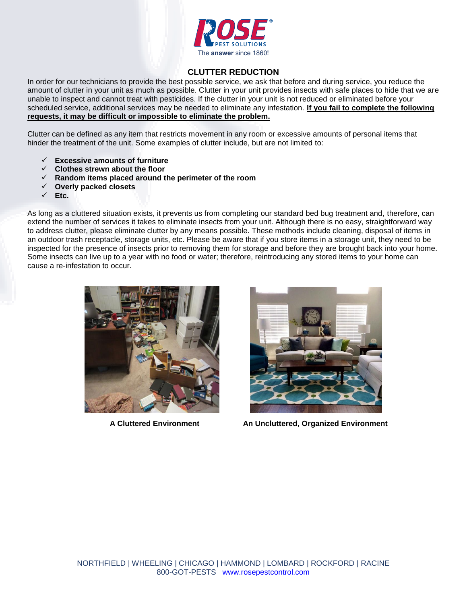

## **CLUTTER REDUCTION**

In order for our technicians to provide the best possible service, we ask that before and during service, you reduce the amount of clutter in your unit as much as possible. Clutter in your unit provides insects with safe places to hide that we are unable to inspect and cannot treat with pesticides. If the clutter in your unit is not reduced or eliminated before your scheduled service, additional services may be needed to eliminate any infestation. **If you fail to complete the following requests, it may be difficult or impossible to eliminate the problem.**

Clutter can be defined as any item that restricts movement in any room or excessive amounts of personal items that hinder the treatment of the unit. Some examples of clutter include, but are not limited to:

- **Excessive amounts of furniture**
- **Clothes strewn about the floor**
- **Random items placed around the perimeter of the room**
- **Overly packed closets**
- **Etc.**

As long as a cluttered situation exists, it prevents us from completing our standard bed bug treatment and, therefore, can extend the number of services it takes to eliminate insects from your unit. Although there is no easy, straightforward way to address clutter, please eliminate clutter by any means possible. These methods include cleaning, disposal of items in an outdoor trash receptacle, storage units, etc. Please be aware that if you store items in a storage unit, they need to be inspected for the presence of insects prior to removing them for storage and before they are brought back into your home. Some insects can live up to a year with no food or water; therefore, reintroducing any stored items to your home can cause a re-infestation to occur.





**A Cluttered Environment An Uncluttered, Organized Environment**